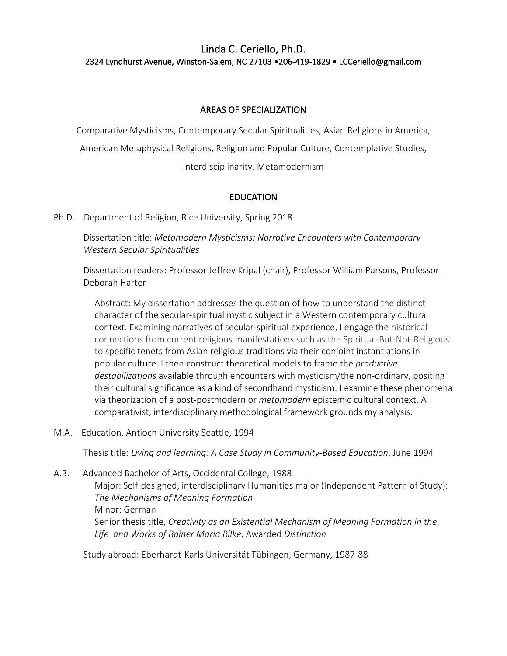# Linda C. Ceriello, Ph.D. 2324 Lyndhurst Avenue, Winston-Salem, NC 27103 •206-419-1829 • LCCeriello@gmail.com

## AREAS OF SPECIALIZATION

Comparative Mysticisms, Contemporary Secular Spiritualities, Asian Religions in America,

American Metaphysical Religions, Religion and Popular Culture, Contemplative Studies,

Interdisciplinarity, Metamodernism

## **EDUCATION**

Ph.D. Department of Religion, Rice University, Spring 2018

Dissertation title: *Metamodern Mysticisms: Narrative Encounters with Contemporary Western Secular Spiritualities*

Dissertation readers: Professor Jeffrey Kripal (chair), Professor William Parsons, Professor Deborah Harter

Abstract: My dissertation addresses the question of how to understand the distinct character of the secular-spiritual mystic subject in a Western contemporary cultural context. Examining narratives of secular-spiritual experience, I engage the historical connections from current religious manifestations such as the Spiritual-But-Not-Religious to specific tenets from Asian religious traditions via their conjoint instantiations in popular culture. I then construct theoretical models to frame the *productive destabilizations* available through encounters with mysticism/the non-ordinary, positing their cultural significance as a kind of secondhand mysticism. I examine these phenomena via theorization of a post-postmodern or *metamodern* epistemic cultural context. A comparativist, interdisciplinary methodological framework grounds my analysis.

M.A. Education, Antioch University Seattle, 1994

Thesis title: *Living and learning: A Case Study in Community-Based Education*, June 1994

A.B. Advanced Bachelor of Arts, Occidental College, 1988 Major: Self-designed, interdisciplinary Humanities major (Independent Pattern of Study): *The Mechanisms of Meaning Formation* Minor: German Senior thesis title, *Creativity as an Existential Mechanism of Meaning Formation in the Life and Works of Rainer Maria Rilke*, Awarded *Distinction*

Study abroad: Eberhardt-Karls Universität Tübingen, Germany, 1987-88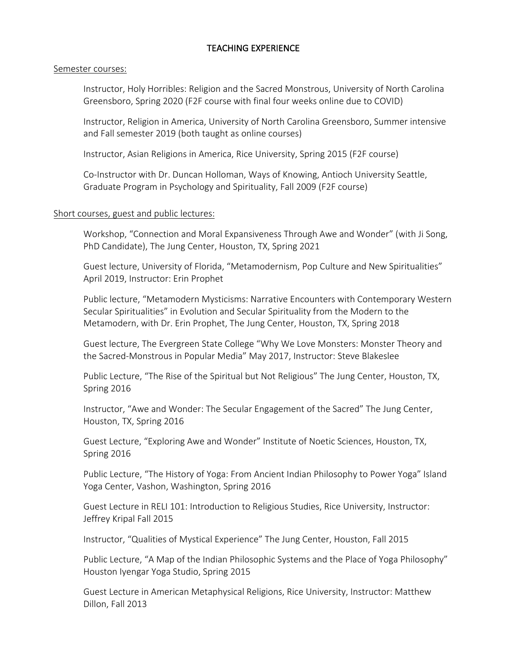## TEACHING EXPERIENCE

#### Semester courses:

Instructor, Holy Horribles: Religion and the Sacred Monstrous, University of North Carolina Greensboro, Spring 2020 (F2F course with final four weeks online due to COVID)

Instructor, Religion in America, University of North Carolina Greensboro, Summer intensive and Fall semester 2019 (both taught as online courses)

Instructor, Asian Religions in America, Rice University, Spring 2015 (F2F course)

Co-Instructor with Dr. Duncan Holloman, Ways of Knowing, Antioch University Seattle, Graduate Program in Psychology and Spirituality, Fall 2009 (F2F course)

### Short courses, guest and public lectures:

Workshop, "Connection and Moral Expansiveness Through Awe and Wonder" (with Ji Song, PhD Candidate), The Jung Center, Houston, TX, Spring 2021

Guest lecture, University of Florida, "Metamodernism, Pop Culture and New Spiritualities" April 2019, Instructor: Erin Prophet

Public lecture, "Metamodern Mysticisms: Narrative Encounters with Contemporary Western Secular Spiritualities" in Evolution and Secular Spirituality from the Modern to the Metamodern, with Dr. Erin Prophet, The Jung Center, Houston, TX, Spring 2018

Guest lecture, The Evergreen State College "Why We Love Monsters: Monster Theory and the Sacred-Monstrous in Popular Media" May 2017, Instructor: Steve Blakeslee

Public Lecture, "The Rise of the Spiritual but Not Religious" The Jung Center, Houston, TX, Spring 2016

Instructor, "Awe and Wonder: The Secular Engagement of the Sacred" The Jung Center, Houston, TX, Spring 2016

Guest Lecture, "Exploring Awe and Wonder" Institute of Noetic Sciences, Houston, TX, Spring 2016

Public Lecture, "The History of Yoga: From Ancient Indian Philosophy to Power Yoga" Island Yoga Center, Vashon, Washington, Spring 2016

Guest Lecture in RELI 101: Introduction to Religious Studies, Rice University, Instructor: Jeffrey Kripal Fall 2015

Instructor, "Qualities of Mystical Experience" The Jung Center, Houston, Fall 2015

Public Lecture, "A Map of the Indian Philosophic Systems and the Place of Yoga Philosophy" Houston Iyengar Yoga Studio, Spring 2015

Guest Lecture in American Metaphysical Religions, Rice University, Instructor: Matthew Dillon, Fall 2013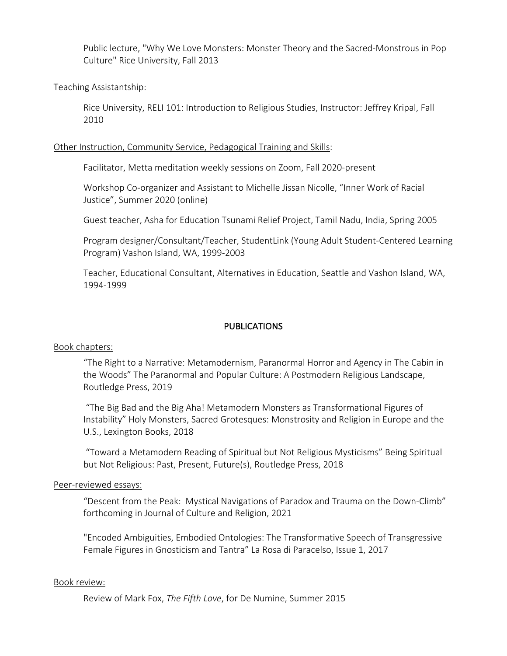Public lecture, "Why We Love Monsters: Monster Theory and the Sacred-Monstrous in Pop Culture" Rice University, Fall 2013

### Teaching Assistantship:

Rice University, RELI 101: Introduction to Religious Studies, Instructor: Jeffrey Kripal, Fall 2010

#### Other Instruction, Community Service, Pedagogical Training and Skills:

Facilitator, Metta meditation weekly sessions on Zoom, Fall 2020-present

Workshop Co-organizer and Assistant to Michelle Jissan Nicolle, "Inner Work of Racial Justice", Summer 2020 (online)

Guest teacher, Asha for Education Tsunami Relief Project, Tamil Nadu, India, Spring 2005

Program designer/Consultant/Teacher, StudentLink (Young Adult Student-Centered Learning Program) Vashon Island, WA, 1999-2003

Teacher, Educational Consultant, Alternatives in Education, Seattle and Vashon Island, WA, 1994-1999

### PUBLICATIONS

#### Book chapters:

"The Right to a Narrative: Metamodernism, Paranormal Horror and Agency in The Cabin in the Woods" The Paranormal and Popular Culture: A Postmodern Religious Landscape, Routledge Press, 2019

"The Big Bad and the Big Aha! Metamodern Monsters as Transformational Figures of Instability" Holy Monsters, Sacred Grotesques: Monstrosity and Religion in Europe and the U.S., Lexington Books, 2018

"Toward a Metamodern Reading of Spiritual but Not Religious Mysticisms" Being Spiritual but Not Religious: Past, Present, Future(s), Routledge Press, 2018

#### Peer-reviewed essays:

"Descent from the Peak: Mystical Navigations of Paradox and Trauma on the Down-Climb" forthcoming in Journal of Culture and Religion, 2021

"Encoded Ambiguities, Embodied Ontologies: The Transformative Speech of Transgressive Female Figures in Gnosticism and Tantra" La Rosa di Paracelso, Issue 1, 2017

#### Book review:

Review of Mark Fox, *The Fifth Love*, for De Numine, Summer 2015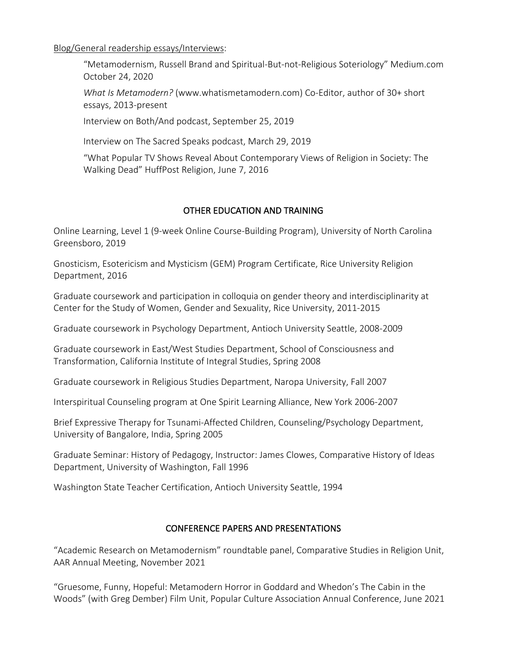Blog/General readership essays/Interviews:

"Metamodernism, Russell Brand and Spiritual-But-not-Religious Soteriology" Medium.com October 24, 2020

*What Is Metamodern?* (www.whatismetamodern.com) Co-Editor, author of 30+ short essays, 2013-present

Interview on Both/And podcast, September 25, 2019

Interview on The Sacred Speaks podcast, March 29, 2019

"What Popular TV Shows Reveal About Contemporary Views of Religion in Society: The Walking Dead" HuffPost Religion, June 7, 2016

## OTHER EDUCATION AND TRAINING

Online Learning, Level 1 (9-week Online Course-Building Program), University of North Carolina Greensboro, 2019

Gnosticism, Esotericism and Mysticism (GEM) Program Certificate, Rice University Religion Department, 2016

Graduate coursework and participation in colloquia on gender theory and interdisciplinarity at Center for the Study of Women, Gender and Sexuality, Rice University, 2011-2015

Graduate coursework in Psychology Department, Antioch University Seattle, 2008-2009

Graduate coursework in East/West Studies Department, School of Consciousness and Transformation, California Institute of Integral Studies, Spring 2008

Graduate coursework in Religious Studies Department, Naropa University, Fall 2007

Interspiritual Counseling program at One Spirit Learning Alliance, New York 2006-2007

Brief Expressive Therapy for Tsunami-Affected Children, Counseling/Psychology Department, University of Bangalore, India, Spring 2005

Graduate Seminar: History of Pedagogy, Instructor: James Clowes, Comparative History of Ideas Department, University of Washington, Fall 1996

Washington State Teacher Certification, Antioch University Seattle, 1994

## CONFERENCE PAPERS AND PRESENTATIONS

"Academic Research on Metamodernism" roundtable panel, Comparative Studies in Religion Unit, AAR Annual Meeting, November 2021

"Gruesome, Funny, Hopeful: Metamodern Horror in Goddard and Whedon's The Cabin in the Woods" (with Greg Dember) Film Unit, Popular Culture Association Annual Conference, June 2021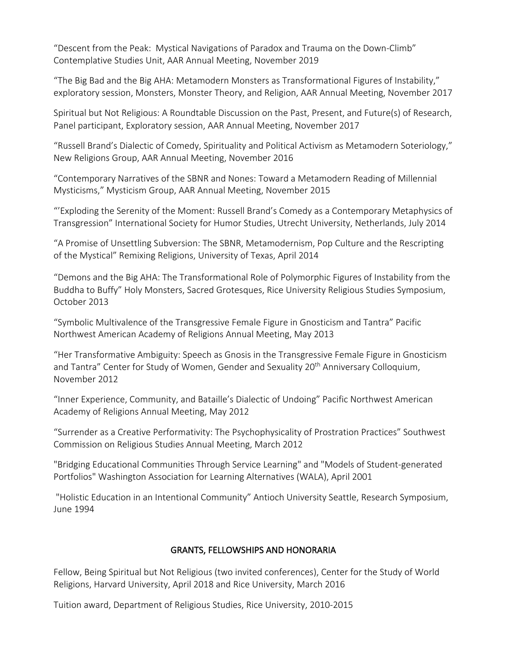"Descent from the Peak: Mystical Navigations of Paradox and Trauma on the Down-Climb" Contemplative Studies Unit, AAR Annual Meeting, November 2019

"The Big Bad and the Big AHA: Metamodern Monsters as Transformational Figures of Instability," exploratory session, Monsters, Monster Theory, and Religion, AAR Annual Meeting, November 2017

Spiritual but Not Religious: A Roundtable Discussion on the Past, Present, and Future(s) of Research, Panel participant, Exploratory session, AAR Annual Meeting, November 2017

"Russell Brand's Dialectic of Comedy, Spirituality and Political Activism as Metamodern Soteriology," New Religions Group, AAR Annual Meeting, November 2016

"Contemporary Narratives of the SBNR and Nones: Toward a Metamodern Reading of Millennial Mysticisms," Mysticism Group, AAR Annual Meeting, November 2015

"'Exploding the Serenity of the Moment: Russell Brand's Comedy as a Contemporary Metaphysics of Transgression" International Society for Humor Studies, Utrecht University, Netherlands, July 2014

"A Promise of Unsettling Subversion: The SBNR, Metamodernism, Pop Culture and the Rescripting of the Mystical" Remixing Religions, University of Texas, April 2014

"Demons and the Big AHA: The Transformational Role of Polymorphic Figures of Instability from the Buddha to Buffy" Holy Monsters, Sacred Grotesques, Rice University Religious Studies Symposium, October 2013

"Symbolic Multivalence of the Transgressive Female Figure in Gnosticism and Tantra" Pacific Northwest American Academy of Religions Annual Meeting, May 2013

"Her Transformative Ambiguity: Speech as Gnosis in the Transgressive Female Figure in Gnosticism and Tantra" Center for Study of Women, Gender and Sexuality 20<sup>th</sup> Anniversary Colloquium, November 2012

"Inner Experience, Community, and Bataille's Dialectic of Undoing" Pacific Northwest American Academy of Religions Annual Meeting, May 2012

"Surrender as a Creative Performativity: The Psychophysicality of Prostration Practices" Southwest Commission on Religious Studies Annual Meeting, March 2012

"Bridging Educational Communities Through Service Learning" and "Models of Student-generated Portfolios" Washington Association for Learning Alternatives (WALA), April 2001

"Holistic Education in an Intentional Community" Antioch University Seattle, Research Symposium, June 1994

# GRANTS, FELLOWSHIPS AND HONORARIA

Fellow, Being Spiritual but Not Religious (two invited conferences), Center for the Study of World Religions, Harvard University, April 2018 and Rice University, March 2016

Tuition award, Department of Religious Studies, Rice University, 2010-2015